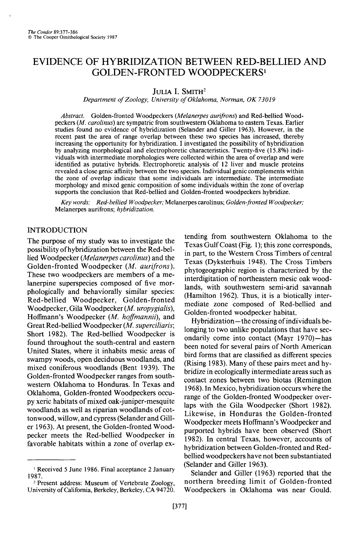# **EVIDENCE OF HYBRIDIZATION BETWEEN RED-BELLIED AND GOLDEN-FRONTED WOODPECKERS'**

**JULIA I. SMITH<sup>2</sup>** 

**Department of Zoology, University of Oklahoma, Norman, OK 73019** 

**Abstract. Golden-fronted Woodpeckers (Melanerpes aurifrons) and Red-bellied Woodpeckers (M. carolinus) are sympatric from southwestern Oklahoma to eastern Texas. Earlier studies found no evidence of hybridization (Selander and Giller 1963). However, in the recent past the area of range overlap between these two species has increased, thereby increasing the opportunity for hybridization. I investigated the possibility of hybridization by analyzing morphological and electrophoretic characteristics. Twenty-five (15.8%) individuals with intermediate morphologies were collected within the area of overlap and were identified as putative hybrids. Electrophoretic analysis of 12 liver and muscle proteins revealed a close genie affinity between the two species. Individual genie complements within the zone of overlap indicate that some individuals are intermediate. The intermediate morphology and mixed genie composition of some individuals within the zone of overlap supports the conclusion that Red-bellied and Golden-fronted woodpeckers hybridize.** 

**Key words: Red-bellied Woodpecker; Melanerpes carolinus; Golden-fronted Woodpecker; Melanerpes aurifrons; hybridization.** 

# **INTRODUCTION**

**The purpose of my study was to investigate the possibility of hybridization between the Red-bellied Woodpecker (Melanerpes carolinus) and the**  Golden-fronted Woodpecker (M. aurifrons). **These two woodpeckers are members of a melanerpine superspecies composed of five morphologically and behaviorally similar species: Red-bellied Woodpecker, Golden-fronted Woodpecker, Gila Woodpecker (M. uropygialis),**  Hoffmann's Woodpecker (M. hoffmannii), and Great Red-bellied Woodpecker (*M. superciliaris*; **Short 1982). The Red-bellied Woodpecker is found throughout the south-central and eastern United States, where it inhabits mesic areas of swampy woods, open deciduous woodlands, and mixed coniferous woodlands (Bent 1939). The Golden-fronted Woodpecker ranges from southwestern Oklahoma to Honduras. In Texas and Oklahoma, Golden-fronted Woodpeckers occupy xeric habitats of mixed oak-juniper-mesquite woodlands as well as riparian woodlands of cottonwood, willow, and cypress (Selander and Giller 1963). At present, the Golden-fronted Woodpecker meets the Red-bellied Woodpecker in favorable habitats within a zone of overlap ex-** **tending from southwestern Oklahoma to the Texas Gulf Coast (Fig. 1); this zone corresponds, in part, to the Western Cross Timbers of central Texas (Dyksterhuis 1948). The Cross Timbers phytogeographic region is characterized by the interdigitation of northeastern mesic oak wood**lands, with southwestern semi-arid savannah **(Hamilton 1962). Thus, it is a biotically intermediate zone composed of Red-bellied and Golden-fronted woodpecker habitat.** 

**Hybridization- the crossing of individuals belonging to two unlike populations that have secondarily come into contact (Mayr 1970)-has been noted for several pairs of North American bird forms that are classified as different species (Rising 1983). Many of these pairs meet and hybridize in ecologically intermediate areas such as contact zones between two biotas (Remington 1968). In Mexico, hybridization occurs where the range of the Golden-fronted Woodpecker overlaps with the Gila Woodpecker (Short 1982). Likewise, in Honduras the Golden-fronted Woodpecker meets Hoffmann's Woodpecker and purported hybrids have been observed (Short 1982). In central Texas, however, accounts of hybridization between Golden-fronted and Redbellied woodpeckers have not been substantiated (Selander and Giller 1963).** 

**Selander and Giller (1963) reported that the northern breeding limit of Golden-fronted Woodpeckers in Oklahoma was near Gould.** 

**I Received 5 June 1986. Final acceptance 2January 1987.** 

**<sup>2</sup> Present address: Museum of Vertebrate Zoology, University of California, Berkeley, Berkeley, CA 94720.**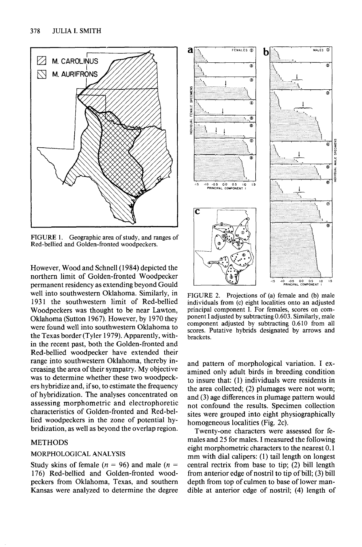

**FIGURE 1. Geographic area of study, and ranges of Red-bellied and Golden-fronted woodpeckers.** 

**However, Wood and Schnell(l984) depicted the northern limit of Golden-fronted Woodpecker permanent residency as extending beyond Gould well into southwestern Oklahoma. Similarly, in**  1931 the southwestern limit of Red-bellied **Woodpeckers was thought to be near Lawton, Oklahoma (Sutton 1967). However, by 1970 they were found well into southwestern Oklahoma to the Texas border (Tyler 1979). Apparently, within the recent past, both the Golden-fronted and Red-bellied woodpecker have extended their range into southwestern Oklahoma, thereby increasing the area of their sympatry. My objective was to determine whether these two woodpeckers hybridize and, if so, to estimate the frequency of hybridization. The analyses concentrated on assessing morphometric and electrophoretic characteristics of Golden-fronted and Red-bellied woodpeckers in the zone of potential hybridization, as well as beyond the overlap region.** 

## **METHODS**

#### **MORPHOLOGICAL ANALYSIS**

Study skins of female ( $n = 96$ ) and male ( $n =$ **176) Red-bellied and Golden-fronted woodpeckers from Oklahoma, Texas, and southern Kansas were analyzed to determine the degree** 



**FIGURE 2. Projections of (a) female and (b) male individuals from (c) eight localities onto an adjusted principal component I. For females, scores on component I adjusted by subtracting 0.603. Similarly, male component adjusted by subtracting 0.610 from all scores. Putative hybrids designated by arrows and brackets.** 

**and pattern of morphological variation. I examined only adult birds in breeding condition to insure that: (1) individuals were residents in the area collected, (2) plumages were not worn; and (3) age differences in plumage pattern would not confound the results. Specimen collection sites were grouped into eight physiographically**  homogeneous localities (Fig. 2c).

**Twenty-one characters were assessed for females and 25 for males. I measured the following eight morphometric characters to the nearest 0.1 mm with dial calipers: (1) tail length on longest central rectrix from base to tip; (2) bill length from anterior edge of nostril to tip of bill; (3) bill depth from top of culmen to base of lower mandible at anterior edge of nostril; (4) length of**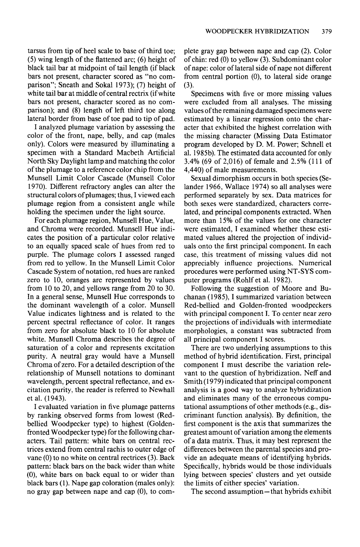**tarsus from tip of heel scale to base of third toe; (5) wing length of the flattened arc; (6) height of black tail bar at midpoint of tail length (if black bars not present, character scored as "no comparison"; Sneath and Sokal 1973); (7) height of white tail bar at middle of central rectrix (ifwhite bars not present, character scored as no comparison); and (8) length of left third toe along lateral border from base of toe pad to tip of pad.** 

**I analyzed plumage variation by assessing the color of the front, nape, belly, and cap (males only). Colors were measured by illuminating a specimen with a Standard Macbeth Artificial North Sky Daylight lamp and matching the color of the plumage to a reference color chip from the Munsell Limit Color Cascade (Munsell Color 1970). Different refractory angles can alter the structural colors of plumages; thus, I viewed each plumage region from a consistent angle while holding the specimen under the light source.** 

**For each plumage region, Munsell Hue, Value, and Chroma were recorded. Munsell Hue indicates the position of a particular color relative to an equally spaced scale of hues from red to purple. The plumage colors I assessed ranged from red to yellow. In the Munsell Limit Color Cascade System of notation, red hues are ranked zero to 10, oranges are represented by values from 10 to 20, and yellows range from 20 to 30. In a general sense, Munsell Hue corresponds to the dominant wavelength of a color. Munsell Value indicates lightness and is related to the percent spectral reflectance of color. It ranges from zero for absolute black to 10 for absolute white. Munsell Chroma describes the degree of saturation of a color and represents excitation purity. A neutral gray would have a Munsell Chroma of zero. For a detailed description of the relationship of Munsell notations to dominant wavelength, percent spectral reflectance, and excitation purity, the reader is referred to Newhall et al. (1943).** 

**I evaluated variation in five plumage patterns by ranking observed forms from lowest (Redbellied Woodpecker type) to highest (Goldenfronted Woodpecker type) for the following characters. Tail pattern: white bars on central rectrices extend from central rachis to outer edge of vane (0) to no white on central rectrices (3). Back pattern: black bars on the back wider than white (0), white bars on back equal to or wider than black bars (1). Nape gap coloration (males only): no gray gap between nape and cap (0), to com-** **plete gray gap between nape and cap (2). Color of chin: red (0) to yellow (3). Subdominant color of nape: color of lateral side of nape not different from central portion (0), to lateral side orange (3).** 

**Specimens with five or more missing values were excluded from all analyses. The missing values of the remaining damaged specimens were estimated by a linear regression onto the character that exhibited the highest correlation with the missing character (Missing Data Estimator program developed by D. M. Power; Schnell et al. 1985b). The estimated data accounted for only 3.4% (69 of 2,016) of female and 2.5% (111 of 4,440) of male measurements.** 

**Sexual dimorphism occurs in both species (Selander 1966, Wallace 1974) so all analyses were performed separately by sex. Data matrices for both sexes were standardized, characters correlated, and principal components extracted. When more than 15% of the values for one character were estimated, I examined whether these estimated values altered the projection of individuals onto the first principal component. In each case, this treatment of missing values did not appreciably influence projections. Numerical procedures were performed using NT-SYS computer programs (Rohlf et al. 1982).** 

**Following the suggestion of Moore and Buchanan (1985) I summarized variation between Red-bellied and Golden-fronted woodpeckers with principal component I. To center near zero the projections of individuals with intermediate morphologies, a constant was subtracted from all principal component I scores.** 

**There are two underlying assumptions to this method of hybrid identification. First, principal component I must describe the variation relevant to the question of hybridization. Neff and Smith (1979) indicated that principal component analysis is a good way to analyze hybridization and eliminates many of the erroneous computational assumptions of other methods (e.g., discriminant function analysis). By definition, the first component is the axis that summarizes the greatest amount of variation among the elements of a data matrix. Thus, it may best represent the differences between the parental species and provide an adequate means of identifying hybrids. Specifically, hybrids would be those individuals lying between species' clusters and yet outside the limits of either species' variation.** 

**The second assumption-that hybrids exhibit**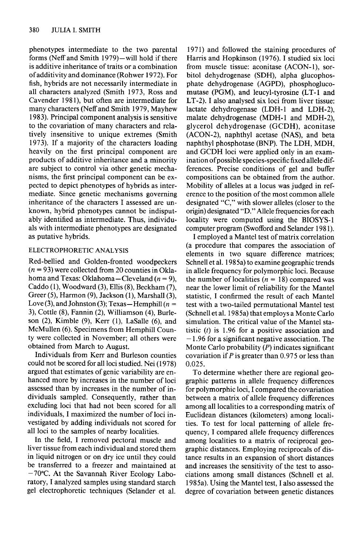**phenotypes intermediate to the two parental forms (Neff and Smith 1979)-will hold if there is additive inheritance of traits or a combination of additivity and dominance (Rohwer 1972). For fish, hybrids are not necessarily intermediate in all characters analyzed (Smith 1973, Ross and Cavender 198 l), but often are intermediate for many characters (Neff and Smith 1979, Mayhew 1983). Principal component analysis is sensitive to the covariation of many characters and relatively insensitive to unique extremes (Smith 1973). If a majority of the characters loading heavily on the first principal component are products of additive inheritance and a minority are subject to control via other genetic mechanisms, the first principal component can be expected to depict phenotypes of hybrids as intermediate. Since genetic mechanisms governing inheritance of the characters I assessed are unknown, hybrid phenotypes cannot be indisputably identified as intermediate. Thus, individuals with intermediate phenotypes are designated as putative hybrids.** 

## **ELECTROPHORETIC ANALYSIS**

**Red-bellied and Golden-fronted woodpeckers (n = 93) were collected from 20 counties in Okla**homa and Texas: Oklahoma-Cleveland  $(n = 9)$ . Caddo (1), Woodward (3), Ellis (8), Beckham (7), **Greer (5), Harmon (9) Jackson (l), Marshall (3),**  Love (3), and Johnston (3); Texas - Hemphill ( $n =$ **3), Cottle (S), Fannin (2) Williamson (4), Burleson (2), Kimble (9), Kerr (1) LaSalle (6) and McMullen (6). Specimens from Hemphill County were collected in November; all others were obtained from March to August.** 

**Individuals from Kerr and Burleson counties could not be scored for all loci studied. Nei (1978) argued that estimates of genie variability are enhanced more by increases in the number of loci assessed than by increases in the number of individuals sampled. Consequently, rather than excluding loci that had not been scored for all individuals, I maximized the number of loci investigated by adding individuals not scored for all loci to the samples of nearby localities.** 

**In the field, I removed pectoral muscle and liver tissue from each individual and stored them in liquid nitrogen or on dry ice until they could be transferred to a freezer and maintained at -70°C. At the Savannah River Ecology Laboratory, I analyzed samples using standard starch gel electrophoretic techniques (Selander et al.** 

**197 1) and followed the staining procedures of Harris and Hopkinson (1976). I studied six loci from muscle tissue: aconitase (ACON-l), sorbitol dehydrogenase (SDH), alpha glucophosphate dehydrogenase (AGPD), phosphoglucomutase (PGM), and leucyl-tyrosine (LT-1 and LT-2). I also analysed six loci from liver tissue:**  lactate dehydrogenase (LDH-1 and LDH-2), malate dehydrogenase (MDH-1 and MDH-2), **glycerol dehydrogenase (GCDH), aconitase (ACON-2), naphthyl acetase (NAS), and beta naphthyl phosphotase (BNP). The LDH, MDH, and GCDH loci were applied only in an exam**ination of possible species-specific fixed allele dif**ferences. Precise conditions of gel and buffer compositions can be obtained from the author. Mobility of alleles at a locus was judged in reference to the position of the most common allele designated "C," with slower alleles (closer to the origin) designated "D." Allele frequencies for each locality were computed using the BIOSYS-1 computer program (Swofford and Selander 198 1).** 

**I employed a Mantel test of matrix correlation (a procedure that compares the association of elements in two square difference matrices; Schnell et al. 1985a) to examine geographic trends in allele frequency for polymorphic loci. Because**  the number of localities  $(n = 18)$  compared was **near the lower limit of reliability for the Mantel statistic, I confirmed the result of each Mantel test with a two-tailed permutational Mantel test (Schnell et al. 1985a) that employs a Monte Carlo simulation. The critical value of the Mantel statistic (t) is 1.96 for a positive association and - 1.96 for a significant negative association. The Monte Carlo probability (P) indicates significant covariation if P is greater than 0.975 or less than 0.025.** 

**To determine whether there are regional geographic patterns in allele frequency differences for polymorphic loci, I compared the covariation between a matrix of allele frequency differences among all localities to a corresponding matrix of Euclidean distances (kilometers) among localities. To test for local patterning of allele frequency, I compared allele frequency differences among localities to a matrix of reciprocal geographic distances. Employing reciprocals of distance results in an expansion of short distances and increases the sensitivity of the test to associations among small distances (Schnell et al. 1985a). Using the Mantel test, I also assessed the degree of covariation between genetic distances**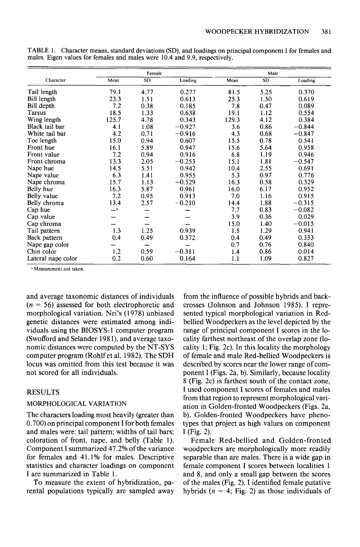|                    |       | Female    |          | Male  |           |          |  |
|--------------------|-------|-----------|----------|-------|-----------|----------|--|
| Character          | Mean  | <b>SD</b> | Loading  | Mean  | <b>SD</b> | Loading  |  |
| Tail length        | 79.1  | 4.77      | 0.277    | 81.5  | 5.25      | 0.370    |  |
| Bill length        | 23.3  | 1.51      | 0.613    | 25.3  | 1.50      | 0.619    |  |
| Bill depth         | 7.2   | 0.38      | 0.185    | 7.8   | 0.47      | 0.089    |  |
| Tarsus             | 18.5  | 1.33      | 0.638    | 19.1  | 1.12      | 0.554    |  |
| Wing length        | 125.7 | 4.78      | 0.343    | 129.3 | 4.12      | 0.384    |  |
| Black tail bar     | 4.1   | 1.08      | $-0.927$ | 3.6   | 0.86      | $-0.844$ |  |
| White tail bar     | 4.2   | 0.71      | $-0.916$ | 4.3   | 0.68      | $-0.847$ |  |
| Toe length         | 15.0  | 0.94      | 0.607    | 15.5  | 0.78      | 0.541    |  |
| Front hue          | 16.1  | 5.89      | 0.947    | 15.6  | 5.64      | 0.958    |  |
| Front value        | 7.2   | 0.94      | 0.916    | 6.8   | 1.19      | 0.946    |  |
| Front chroma       | 13.3  | 2.05      | $-0.253$ | 15.1  | 1.81      | $-0.547$ |  |
| Nape hue           | 14.5  | 5.51      | 0.942    | 10.4  | 2.55      | 0.691    |  |
| Nape value         | 6.3   | 1.41      | 0.955    | 5.3   | 0.97      | 0.776    |  |
| Nape chroma        | 15.7  | 1.13      | $-0.529$ | 16.3  | 0.58      | 0.329    |  |
| Belly hue          | 16.3  | 5.87      | 0.961    | 16.0  | 6.17      | 0.952    |  |
| Belly value        | 7.2   | 0.95      | 0.913    | 7.0   | 1.16      | 0.915    |  |
| Belly chroma       | 13.4  | 2.57      | $-0.210$ | 14.4  | 1.88      | $-0.315$ |  |
| Cap hue            | $-a$  |           |          | 7.7   | 0.83      | $-0.082$ |  |
| Cap value          |       |           |          | 3.9   | 0.36      | 0.029    |  |
| Cap chroma         |       |           |          | 15.0  | 1.40      | $-0.015$ |  |
| Tail pattern       | 1.3   | 1.25      | 0.939    | 1.5   | 1.29      | 0.941    |  |
| Back pattern       | 0.4   | 0.49      | 0.372    | 0.4   | 0.49      | 0.333    |  |
| Nape gap color     |       |           |          | 0.7   | 0.76      | 0.840    |  |
| Chin color         | 1.2   | 0.59      | $-0.311$ | 1.4   | 0.86      | 0.014    |  |
| Lateral nape color | 0.2   | 0.60      | 0.164    | 1.1   | 1.09      | 0.827    |  |

**TABLE 1. Character means, standard deviations (SD), and loadings on principal component I for females and males. Eigen values for females and males were 10.4 and 9.9, respectively.** 

**a Measurement not taken** 

**and average taxonomic distances of individuals (n = 56) assessed for both electrophoretic and morphological variation. Nei's (1978) unbiased genetic distances were estimated among individuals using the BIOSYS- 1 computer program (Swofford and Selander 198 l), and average taxonomic distances were computed by the NT-SYS computer program (Rohlf et al. 1982). The SDH locus was omitted from this test because it was not scored for all individuals.** 

#### **RESULTS**

#### **MORPHOLOGICAL VARIATION**

**The characters loading most heavily (greater than 0.700) on principal component I for both females and males were: tail pattern; widths of tail bars; coloration of front, nape, and belly (Table 1). Component I summarized 47.2% of the variance for females and 41.1% for males. Descriptive statistics and character loadings on component I are summarized in Table 1.** 

**To measure the extent of hybridization, parental populations typically are sampled away** 

**from the influence of possible hybrids and backcrosses (Johnson and Johnson 1985). I represented typical morphological variation in Redbellied Woodpeckers as the level depicted by the range of principal component I scores in the locality farthest northeast of the overlap zone (lo**cality 1; Fig. 2c). In this locality the morphology **of female and male Red-bellied Woodpeckers is described by scores near the lower range of component I (Figs. 2a, b). Similarly, because locality 8 (Fig. 2c) is farthest south of the contact zone, I used component I scores of females and males from that region to represent morphological variation in Golden-fronted Woodpeckers (Figs. 2a, b). Golden-fronted Woodpeckers have phenotypes that project as high values on component I (Fig. 2).** 

**Female Red-bellied and Golden-fronted woodpeckers are morphologically more readily separable than are males. There is a wide gap in female component I scores between localities 1 and 8, and only a small gap between the scores of the males (Fig. 2). I identified female putative**  hybrids ( $n = 4$ ; Fig. 2) as those individuals of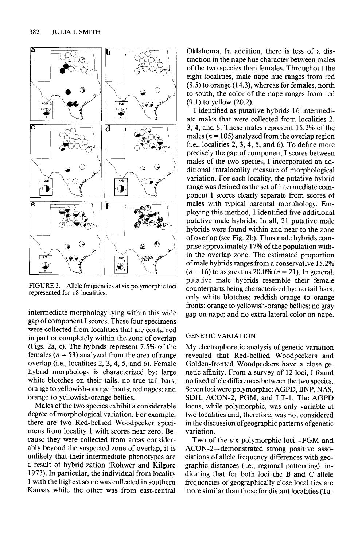

**FIGURE 3. Allele frequencies at six polymorphic loci represented for 18 localities.** 

**intermediate morphology lying within this wide gap of component I scores. These four specimens were collected from localities that are contained in part or completely within the zone of overlap (Figs. 2a, c). The hybrids represent 7.5% of the**  females  $(n = 53)$  analyzed from the area of range **overlap (i.e., localities 2, 3, 4, 5, and 6). Female hybrid morphology is characterized by: large white blotches on their tails, no true tail bars; orange to yellowish-orange fronts; red napes; and orange to yellowish-orange bellies.** 

**Males of the two species exhibit a considerable degree of morphological variation. For example, there are two Red-bellied Woodpecker specimens from locality 1 with scores near zero. Because they were collected from areas considerably beyond the suspected zone of overlap, it is unlikely that their intermediate phenotypes are a result of hybridization (Rohwer and Kilgore 1973). In particular, the individual from locality 1 with the highest score was collected in southern Kansas while the other was from east-central** 

**Oklahoma. In addition, there is less of a distinction in the nape hue character between males of the two species than females. Throughout the eight localities, male nape hue ranges from red (8.5) to orange (14.3), whereas for females, north to south, the color of the nape ranges from red (9.1) to yellow (20.2).** 

**I identified as putative hybrids 16 intermediate males that were collected from localities 2, 3, 4, and 6. These males represent 15.2% of the**  males ( $n = 105$ ) analyzed from the overlap region **(i.e., localities 2, 3, 4, 5, and 6). To define more precisely the gap of component I scores between males of the two species, I incorporated an additional intralocality measure of morphological variation. For each locality, the putative hybrid range was defined as the set of intermediate component I scores clearly separate from scores of males with typical parental morphology. Employing this method, I identified five additional putative male hybrids. In all, 21 putative male hybrids were found within and near to the zone of overlap (see Fig. 2b). Thus male hybrids comprise approximately 17% of the population within the overlap zone. The estimated proportion of male hybrids ranges from a conservative 15.2%**   $(n = 16)$  to as great as  $20.0\%$   $(n = 21)$ . In general, **putative male hybrids resemble their female counterparts being characterized by: no tail bars, only white blotches; reddish-orange to orange fronts; orange to yellowish-orange bellies; no gray gap on nape; and no extra lateral color on nape.** 

#### **GENETIC VARIATION**

**My electrophoretic analysis of genetic variation revealed that Red-bellied Woodpeckers and Golden-fronted Woodpeckers have a close genetic affinity. From a survey of 12 loci, I found no fixed allele differences between the two species. Seven loci were polymorphic: AGPD, BNP, NAS, SDH, ACON-2, PGM, and LT-1. The AGPD locus, while polymorphic, was only variable at two localities and, therefore, was not considered in the discussion ofgeographic patterns ofgenetic variation.** 

**Two of the six polymorphic loci-PGM and**  ACON-2-demonstrated strong positive asso**ciations of allele frequency differences with geographic distances (i.e., regional patterning), indicating that for both loci the B and C allele frequencies of geographically close localities are more similar than those for distant localities (Ta-**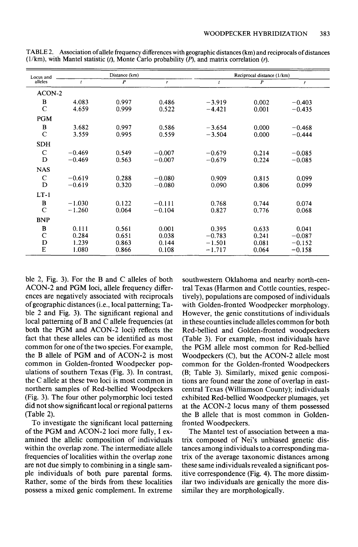| Locus and   | Distance (km) |                  |          | Reciprocal distance (1/km) |                  |          |  |
|-------------|---------------|------------------|----------|----------------------------|------------------|----------|--|
| alleles     | $\mathbf{r}$  | $\boldsymbol{P}$ | r        | $\boldsymbol{t}$           | $\boldsymbol{P}$ | r        |  |
| ACON-2      |               |                  |          |                            |                  |          |  |
| B           | 4.083         | 0.997            | 0.486    | $-3.919$                   | 0.002            | $-0.403$ |  |
| $\mathbf C$ | 4.659         | 0.999            | 0.522    | $-4.421$                   | 0.001            | $-0.435$ |  |
| <b>PGM</b>  |               |                  |          |                            |                  |          |  |
| B           | 3.682         | 0.997            | 0.586    | $-3.654$                   | 0.000            | $-0.468$ |  |
| $\mathbf C$ | 3.559         | 0.995            | 0.559    | $-3.504$                   | 0.000            | $-0.444$ |  |
| <b>SDH</b>  |               |                  |          |                            |                  |          |  |
| $\mathbf C$ | $-0.469$      | 0.549            | $-0.007$ | $-0.679$                   | 0.214            | $-0.085$ |  |
| D           | $-0.469$      | 0.563            | $-0.007$ | $-0.679$                   | 0.224            | $-0.085$ |  |
| <b>NAS</b>  |               |                  |          |                            |                  |          |  |
| $\mathbf C$ | $-0.619$      | 0.288            | $-0.080$ | 0.909                      | 0.815            | 0.099    |  |
| D           | $-0.619$      | 0.320            | $-0.080$ | 0.090                      | 0.806            | 0.099    |  |
| $LT-1$      |               |                  |          |                            |                  |          |  |
| B           | $-1.030$      | 0.122            | $-0.111$ | 0.768                      | 0.744            | 0.074    |  |
| $\mathbf C$ | $-1.260$      | 0.064            | $-0.104$ | 0.827                      | 0.776            | 0.068    |  |
| <b>BNP</b>  |               |                  |          |                            |                  |          |  |
| B           | 0.111         | 0.561            | 0.001    | 0.395                      | 0.633            | 0.041    |  |
| $\mathbf C$ | 0.284         | 0.651            | 0.038    | $-0.783$                   | 0.241            | $-0.087$ |  |
| D           | 1.239         | 0.863            | 0.144    | $-1.501$                   | 0.081            | $-0.152$ |  |
| E           | 1.080         | 0.866            | 0.108    | $-1.717$                   | 0.064            | $-0.158$ |  |

**TABLE 2. Association ofallele frequency differences with geographic distances (km) and reciprocals of distances (l/km), with Mantel statistic (t), Monte Carlo probability (P), and matrix correlation (r).** 

**ble 2, Fig. 3). For the B and C alleles of both**  ACON-2 and PGM loci, allele frequency differ**ences are negatively associated with reciprocals of geographic distances (i.e., local patterning; Table 2 and Fig. 3). The significant regional and local patterning of B and C allele frequencies (at**  both the PGM and ACON-2 loci) reflects the **fact that these alleles can be identified as most common for one of the two species. For example,**  the B allele of PGM and of ACON-2 is most **common in Golden-fronted Woodpecker populations of southern Texas (Fig. 3). In contrast, the C allele at these two loci is most common in northern samples of Red-bellied Woodpeckers (Fig. 3). The four other polymorphic loci tested did not show significant local or regional patterns (Table 2).** 

**To investigate the significant local patterning**  of the PGM and ACON-2 loci more fully, I ex**amined the allelic composition of individuals within the overlap zone. The intermediate allele frequencies of localities within the overlap zone are not due simply to combining in a single sample individuals of both pure parental forms. Rather, some of the birds from these localities possess a mixed genie complement. In extreme** 

**southwestern Oklahoma and nearby north-central Texas (Harmon and Cottle counties, respectively), populations are composed of individuals with Golden-fronted Woodpecker morphology. However, the genie constitutions of individuals in these counties include alleles common for both Red-bellied and Golden-fronted woodpeckers (Table 3). For example, most individuals have the PGM allele most common for Red-bellied**  Woodpeckers (C), but the ACON-2 allele most **common for the Golden-fronted Woodpeckers (B; Table 3). Similarly, mixed genie compositions are found near the zone of overlap in eastcentral Texas (Williamson County); individuals exhibited Red-bellied Woodpecker plumages, yet**  at the ACON-2 locus many of them possessed **the B allele that is most common in Goldenfronted Woodpeckers.** 

**The Mantel test of association between a matrix composed of Nei's unbiased genetic distances among individuals to a corresponding matrix of the average taxonomic distances among these same individuals revealed a significant positive correspondence (Fig. 4). The more dissim**ilar two individuals are genically the more dis**similar they are morphologically.**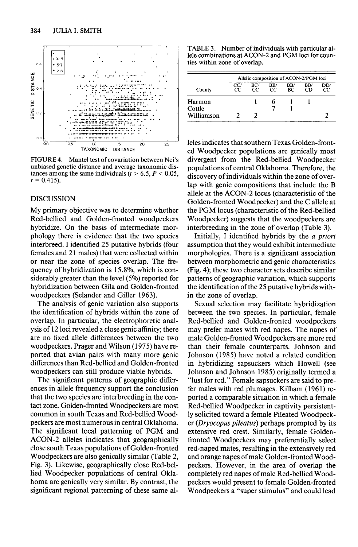

**FIGURE 4. Mantel test of covariation between Nei's unbiased genetic distance and average taxonomic dis**tances among the same individuals  $(t > 6.5, P < 0.05,$  $r = 0.415$ .

#### **DISCUSSION**

**My primary objective was to determine whether Red-bellied and Golden-fronted woodpeckers hybridize. On the basis of intermediate morphology there is evidence that the two species interbreed. I identified 25 putative hybrids (four females and 2 1 males) that were collected within or near the zone of species overlap. The frequency of hybridization is 15.8%, which is considerably greater than the level (5%) reported for hybridization between Gila and Golden-fronted woodpeckers (Selander and Giller 1963).** 

**The analysis of genie variation also supports the identification of hybrids within the zone of overlap. In particular, the electrophoretic analysis of 12 loci revealed a close genie affinity; there are no fixed allele differences between the two**  woodpeckers. Prager and Wilson (1975) have re**ported that avian pairs with many more genie differences than Red-bellied and Golden-fronted woodpeckers can still produce viable hybrids.** 

**The significant patterns of geographic differences in allele frequency support the conclusion that the two species are interbreeding in the contact zone. Golden-fronted Woodpeckers are most common in south Texas and Red-bellied Woodpeckers are most numerous in central Oklahoma. The significant local patterning of PGM and**  ACON-2 alleles indicates that geographically **close south Texas populations of Golden-fronted**  Woodpeckers are also genically similar (Table 2, **Fig. 3). Likewise, geographically close Red-bellied Woodpecker populations of central Okla**homa are genically very similar. By contrast, the **significant regional patterning of these same al-**

**TABLE 3. Number of individuals with particular al**lele combinations at ACON-2 and PGM loci for coun**ties within zone of overlap.** 

|            | Allelic composition of ACON-2/PGM loci |           |           |           |           |            |  |
|------------|----------------------------------------|-----------|-----------|-----------|-----------|------------|--|
| County     | CC/<br>cс                              | BC/<br>CС | BB/<br>cc | BB/<br>BС | BB/<br>CD | DD/<br>CC. |  |
| Harmon     |                                        |           |           |           |           |            |  |
| Cottle     |                                        |           |           |           |           |            |  |
| Williamson |                                        |           |           |           |           |            |  |

**leles indicates that southern Texas Golden-front**ed Woodpecker populations are genically most **divergent from the Red-bellied Woodpecker populations of central Oklahoma. Therefore, the discovery of individuals within the zone of overlap with genie compositions that include the B**  allele at the ACON-2 locus (characteristic of the **Golden-fronted Woodpecker) and the C allele at the PGM locus (characteristic of the Red-bellied Woodpecker) suggests that the woodpeckers are interbreeding in the zone of overlap (Table 3).** 

**Initially, I identified hybrids by the a priori assumption that they would exhibit intermediate morphologies. There is a significant association between morphometric and genie characteristics (Fig. 4); these two character sets describe similar patterns of geographic variation, which supports the identification of the 25 putative hybrids within the zone of overlap.** 

**Sexual selection may facilitate hybridization between the two species. In particular, female Red-bellied and Golden-fronted woodpeckers may prefer mates with red napes. The napes of male Golden-fronted Woodpeckers are more red than their female counterparts. Johnson and Johnson (1985) have noted a related condition in hybridizing sapsuckers which Howell (see Johnson and Johnson 1985) originally termed a "lust for red." Female sapsuckers are said to prefer males with red plumages. Kilham (196 1) reported a comparable situation in which a female Red-bellied Woodpecker in captivity persistently solicited toward a female Pileated Woodpecker (Dryocopus pifeutus) perhaps prompted by its extensive red crest. Similarly, female Goldenfronted Woodpeckers may preferentially select red-naped mates, resulting in the extensively red and orange napes of male Golden-fronted Woodpeckers. However, in the area of overlap the completely red napes of male Red-bellied Woodpeckers would present to female Golden-fronted Woodpeckers a "super stimulus" and could lead**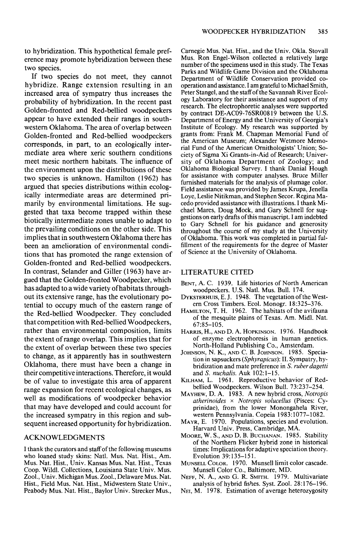**to hybridization. This hypothetical female preference may promote hybridization between these two species.** 

**If two species do not meet, they cannot hybridize. Range extension resulting in an increased area of sympatry thus increases the probability of hybridization. In the recent past Golden-fronted and Red-bellied woodpeckers appear to have extended their ranges in southwestern Oklahoma. The area of overlap between Golden-fronted and Red-bellied woodpeckers corresponds, in part, to an ecologically intermediate area where xeric southern conditions meet mesic northern habitats. The influence of the environment upon the distributions of these two species is unknown. Hamilton (1962) has argued that species distributions within ecologically intermediate areas are determined primarily by environmental limitations. He suggested that taxa become trapped within these biotically intermediate zones unable to adapt to the prevailing conditions on the other side. This implies that in southwestern Oklahoma there has been an amelioration of environmental conditions that has promoted the range extension of Golden-fronted and Red-bellied woodpeckers. In contrast, Selander and Giller (1963) have argued that the Golden-fronted Woodpecker, which has adapted to a wide variety ofhabitats throughout its extensive range, has the evolutionary potential to occupy much of the eastern range of the Red-bellied Woodpecker. They concluded that competition with Red-bellied Woodpeckers, rather than environmental composition, limits the extent of range overlap. This implies that for the extent of overlap between these two species to change, as it apparently has in southwestern Oklahoma, there must have been a change in their comnetitive interactions. Therefore. it would**  be of value to investigate this area of apparent **KILHAM, L. 1961. Reproductive behavior of Red**<br>
bellied Woodpeckers. Wilson Bull. 73:237–254. **range expansion for recent ecological changes, as**  $\frac{\text{beline w ootopeckers. Wilson Bul. 73:237-234.}}{\text{MAYHEW, D. A. 1983. A new hybrid cross, *Notropis*}}$ well as modifications of woodpecker behavior **that may have developed and could account for the increased sympatry in this region and sub- western Pennsylvania. Copeia 1983: 1077-1082.**  sequent increased opportunity for hybridization.

**who loaned study skins: Natl. Mus. Nat. Hist., Am. Evolution 39:135-151.**  Mus. Nat. Hist., Univ. Kansas Mus. Nat. Hist., Texas Munsell Color. 1970. Munsell limit Coop. Wildl. Collections, Louisiana State Univ. Mus. Munsell Color Co., Baltimore, MD. Coop. Wildl. Collections, Louisiana State Univ. Mus. Zool., Univ. Michigan Mus. Zool., Delaware Mus. Nat. Hist., Field Mus. Nat. Hist., Midwestern State Univ., Peabody Mus. Nat. Hist., Baylor Univ. Strecker Mus.,

**Carnegie Mus. Nat. Hist., and the Univ. Okla. Stovall**  Mus. Ron Engel-Wilson collected a relatively large **number of the specimens used in this study. The Texas Parks and Wildlife Game Division and the Oklahoma Department of Wildlife Conservation provided cooperation and assistance. I am grateful to Michael Smith, Peter Stangel, and the staff of the Savannah River Ecology Laboratory for their assistance and support of my research. The electrophoretic analyses were supported by contract DE-AC09-76SR00819 between the U.S. Department of Energy and the University of Georgia's Institute of Ecology. My research was supported by grants from: Frank M. Chapman Memorial Fund of the American Museum; Alexander Wetmore Memorial Fund of the American Ornithologists' Union; Society of Sigma Xi Grants-in-Aid of Research, University of Oklahoma Department of Zoology; and Oklahoma Biological Survey. I thank Danial Hough for assistance with computer analyses. Bruce Miller furnished materials for the analysis of plumage color.**  Field assistance was provided by James Krupa, Jenella Loye, Leslie Nitikman, and Stephen Secor. Regina Ma**cede provided assistance with illustrations. I thank Michael Mares, Doug Mock, and Gary Schnell for suggestions on early drafts ofthis manuscript. I am indebted to Gary Schnell for his guidance and generosity throughout the course of my study at the University of Oklahoma. This work was completed in partial fulfillment of the requirements for the degree of Master of Science at the University of Oklahoma.** 

#### **LITERATURE CITED**

- **BENT, A. C. 1939. Life histories of North American woodpeckers. U.S. Natl. Mus. Bull. 174.**
- DYKSTERHUIS, E.J. 1948. The vegetation of the West**em Cross Timbers. Ecol. Monogr. 18:325-376.**
- **HAMILTON. T. H. 1962. The habitats of the avifauna of the'mesquite plains of Texas. Am. Midl. Nat. 67:85-105.**
- **HARRIS, H., AND D. A. HOPKINSON. 1976. Handbook of enzyme electrophoresis in human genetics. North-Holland Publishing Co., Amsterdam.**
- **JOHNSON. N. K.. AND C. B. JOHNSON. 1985. Snecia**tion in sapsuckers (*Sphyrapicus*): II. Sympatry, hy**bridization and mate preference in S. ruber dugetti**  and *S. nuchalis.* Auk 102:1-15.<br>**KILHAM, L.** 1961. Reproductive behavior of Red-
- 
- **atherinoides x Notropis volucellus (Pisces: Cyprinidae), from the lower Monongahela River,**
- Harvard Univ. Press, Cambridge, MA.
- **ACKNOWLEDGMENTS MOORE, W. S., AND D. B. BUCHANAN.** 1985. Stability **of the Northern Flicker hybrid zone in historical I thank the curators and staff of the following museums times: Implications for adaptive speciation theory.** 
	-
	- **NEFF, N. A., AND G. R. SMITH. 1979. Multivariate analysis of hybrid fishes. Syst. Zool. 28:176-196.**
	- NEI, M. 1978. Estimation of average heterozygosity